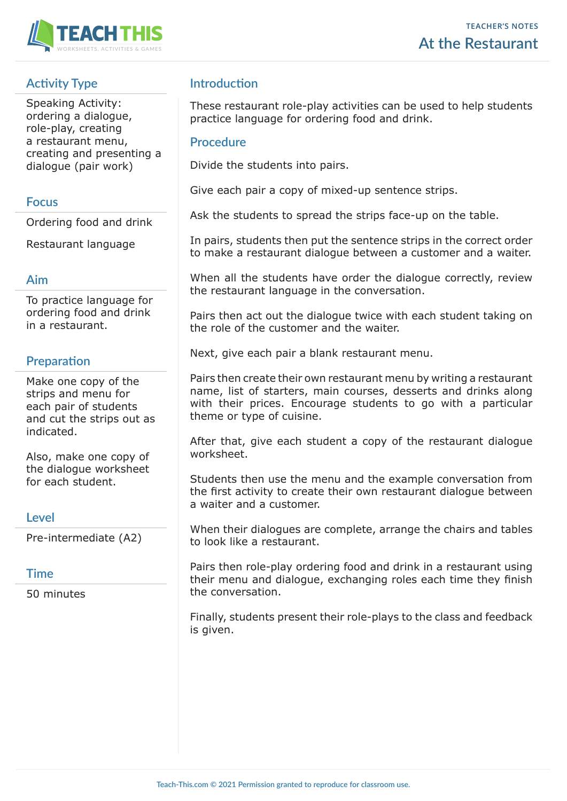

# **Activity Type**

Speaking Activity: ordering a dialogue, role-play, creating a restaurant menu, creating and presenting a dialogue (pair work)

#### **Focus**

Ordering food and drink

Restaurant language

### **Aim**

To practice language for ordering food and drink in a restaurant.

## **Preparation**

Make one copy of the strips and menu for each pair of students and cut the strips out as indicated.

Also, make one copy of the dialogue worksheet for each student.

## **Level**

Pre-intermediate (A2)

#### **Time**

50 minutes

## **Introduction**

These restaurant role-play activities can be used to help students practice language for ordering food and drink.

#### **Procedure**

Divide the students into pairs.

Give each pair a copy of mixed-up sentence strips.

Ask the students to spread the strips face-up on the table.

In pairs, students then put the sentence strips in the correct order to make a restaurant dialogue between a customer and a waiter.

When all the students have order the dialogue correctly, review the restaurant language in the conversation.

Pairs then act out the dialogue twice with each student taking on the role of the customer and the waiter.

Next, give each pair a blank restaurant menu.

Pairs then create their own restaurant menu by writing a restaurant name, list of starters, main courses, desserts and drinks along with their prices. Encourage students to go with a particular theme or type of cuisine.

After that, give each student a copy of the restaurant dialogue worksheet.

Students then use the menu and the example conversation from the first activity to create their own restaurant dialogue between a waiter and a customer.

When their dialogues are complete, arrange the chairs and tables to look like a restaurant.

Pairs then role-play ordering food and drink in a restaurant using their menu and dialogue, exchanging roles each time they finish the conversation.

Finally, students present their role-plays to the class and feedback is given.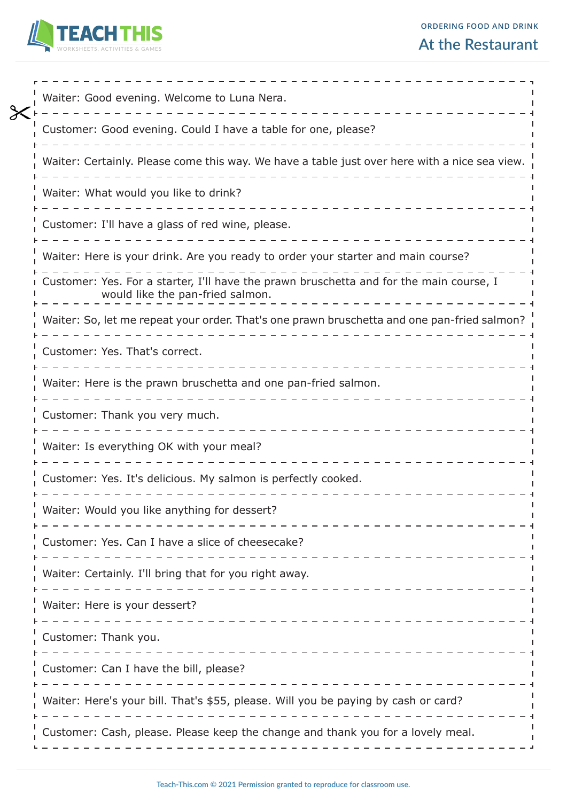

|  | <b>At the Restaurant</b> |
|--|--------------------------|
|--|--------------------------|

| Waiter: Good evening. Welcome to Luna Nera.                                                                                 |
|-----------------------------------------------------------------------------------------------------------------------------|
| Customer: Good evening. Could I have a table for one, please?                                                               |
| Waiter: Certainly. Please come this way. We have a table just over here with a nice sea view.                               |
| Waiter: What would you like to drink?                                                                                       |
| Customer: I'll have a glass of red wine, please.                                                                            |
| Waiter: Here is your drink. Are you ready to order your starter and main course?                                            |
| Customer: Yes. For a starter, I'll have the prawn bruschetta and for the main course, I<br>would like the pan-fried salmon. |
| Waiter: So, let me repeat your order. That's one prawn bruschetta and one pan-fried salmon?                                 |
| Customer: Yes. That's correct.                                                                                              |
| Waiter: Here is the prawn bruschetta and one pan-fried salmon.                                                              |
| Customer: Thank you very much.                                                                                              |
| Waiter: Is everything OK with your meal?                                                                                    |
| Customer: Yes. It's delicious. My salmon is perfectly cooked.                                                               |
| Waiter: Would you like anything for dessert?                                                                                |
| Customer: Yes. Can I have a slice of cheesecake?                                                                            |
| Waiter: Certainly. I'll bring that for you right away.                                                                      |
| Waiter: Here is your dessert?<br>. _ _ _ _ _ _ _ _ _ _ _ _ _ _ _ _                                                          |
| Customer: Thank you.                                                                                                        |
| Customer: Can I have the bill, please?                                                                                      |
| Waiter: Here's your bill. That's \$55, please. Will you be paying by cash or card?                                          |
| Customer: Cash, please. Please keep the change and thank you for a lovely meal.                                             |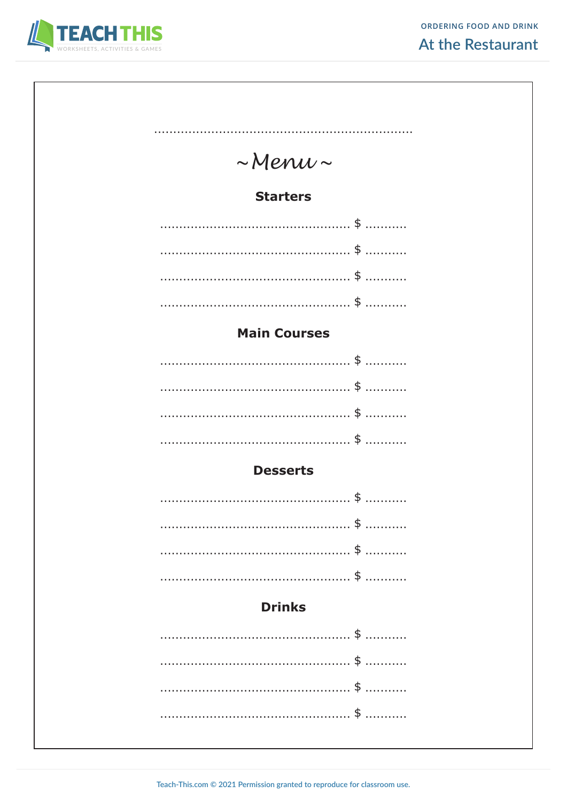

| $\sim$ Menu $\sim$                    |  |  |  |  |  |
|---------------------------------------|--|--|--|--|--|
| <b>Starters</b>                       |  |  |  |  |  |
| . \$                                  |  |  |  |  |  |
| . \$                                  |  |  |  |  |  |
| $\frac{4}{5}$                         |  |  |  |  |  |
| \$                                    |  |  |  |  |  |
| <b>Main Courses</b>                   |  |  |  |  |  |
| . \$                                  |  |  |  |  |  |
| . \$                                  |  |  |  |  |  |
| $\frac{4}{5}$<br>\$                   |  |  |  |  |  |
|                                       |  |  |  |  |  |
| <b>Desserts</b>                       |  |  |  |  |  |
| . \$                                  |  |  |  |  |  |
| \$<br>.<br>\$                         |  |  |  |  |  |
| $\mathfrak{P}$<br>$\overline{1}$<br>. |  |  |  |  |  |
| <b>Drinks</b>                         |  |  |  |  |  |
|                                       |  |  |  |  |  |
|                                       |  |  |  |  |  |
| \$<br>.                               |  |  |  |  |  |
| \$                                    |  |  |  |  |  |
| \$<br>.                               |  |  |  |  |  |
|                                       |  |  |  |  |  |